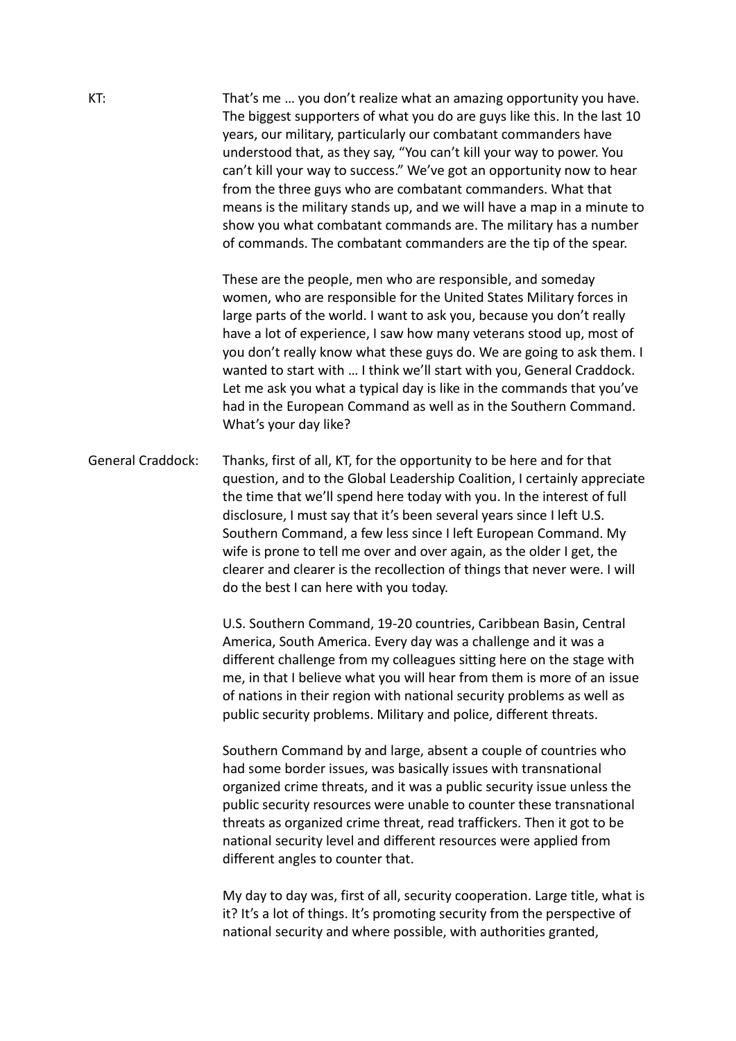| KT:                      | That's me  you don't realize what an amazing opportunity you have.<br>The biggest supporters of what you do are guys like this. In the last 10<br>years, our military, particularly our combatant commanders have<br>understood that, as they say, "You can't kill your way to power. You<br>can't kill your way to success." We've got an opportunity now to hear<br>from the three guys who are combatant commanders. What that<br>means is the military stands up, and we will have a map in a minute to<br>show you what combatant commands are. The military has a number<br>of commands. The combatant commanders are the tip of the spear. |
|--------------------------|---------------------------------------------------------------------------------------------------------------------------------------------------------------------------------------------------------------------------------------------------------------------------------------------------------------------------------------------------------------------------------------------------------------------------------------------------------------------------------------------------------------------------------------------------------------------------------------------------------------------------------------------------|
|                          | These are the people, men who are responsible, and someday<br>women, who are responsible for the United States Military forces in<br>large parts of the world. I want to ask you, because you don't really<br>have a lot of experience, I saw how many veterans stood up, most of<br>you don't really know what these guys do. We are going to ask them. I<br>wanted to start with  I think we'll start with you, General Craddock.<br>Let me ask you what a typical day is like in the commands that you've<br>had in the European Command as well as in the Southern Command.<br>What's your day like?                                          |
| <b>General Craddock:</b> | Thanks, first of all, KT, for the opportunity to be here and for that<br>question, and to the Global Leadership Coalition, I certainly appreciate<br>the time that we'll spend here today with you. In the interest of full<br>disclosure, I must say that it's been several years since I left U.S.<br>Southern Command, a few less since I left European Command. My<br>wife is prone to tell me over and over again, as the older I get, the<br>clearer and clearer is the recollection of things that never were. I will<br>do the best I can here with you today.                                                                            |
|                          | U.S. Southern Command, 19-20 countries, Caribbean Basin, Central<br>America, South America. Every day was a challenge and it was a<br>different challenge from my colleagues sitting here on the stage with<br>me, in that I believe what you will hear from them is more of an issue<br>of nations in their region with national security problems as well as<br>public security problems. Military and police, different threats.                                                                                                                                                                                                               |
|                          | Southern Command by and large, absent a couple of countries who<br>had some border issues, was basically issues with transnational<br>organized crime threats, and it was a public security issue unless the<br>public security resources were unable to counter these transnational<br>threats as organized crime threat, read traffickers. Then it got to be<br>national security level and different resources were applied from<br>different angles to counter that.                                                                                                                                                                          |
|                          | My day to day was, first of all, security cooperation. Large title, what is<br>it? It's a lot of things. It's promoting security from the perspective of<br>national security and where possible, with authorities granted,                                                                                                                                                                                                                                                                                                                                                                                                                       |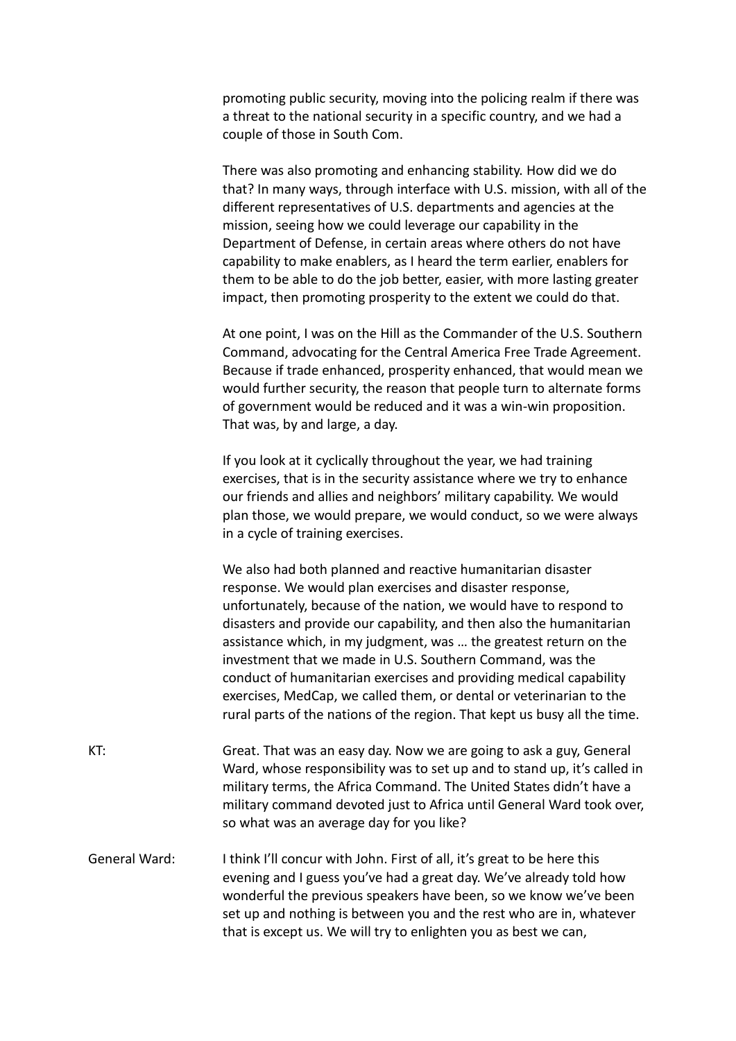promoting public security, moving into the policing realm if there was a threat to the national security in a specific country, and we had a couple of those in South Com.

There was also promoting and enhancing stability. How did we do that? In many ways, through interface with U.S. mission, with all of the different representatives of U.S. departments and agencies at the mission, seeing how we could leverage our capability in the Department of Defense, in certain areas where others do not have capability to make enablers, as I heard the term earlier, enablers for them to be able to do the job better, easier, with more lasting greater impact, then promoting prosperity to the extent we could do that.

At one point, I was on the Hill as the Commander of the U.S. Southern Command, advocating for the Central America Free Trade Agreement. Because if trade enhanced, prosperity enhanced, that would mean we would further security, the reason that people turn to alternate forms of government would be reduced and it was a win-win proposition. That was, by and large, a day.

If you look at it cyclically throughout the year, we had training exercises, that is in the security assistance where we try to enhance our friends and allies and neighbors' military capability. We would plan those, we would prepare, we would conduct, so we were always in a cycle of training exercises.

We also had both planned and reactive humanitarian disaster response. We would plan exercises and disaster response, unfortunately, because of the nation, we would have to respond to disasters and provide our capability, and then also the humanitarian assistance which, in my judgment, was … the greatest return on the investment that we made in U.S. Southern Command, was the conduct of humanitarian exercises and providing medical capability exercises, MedCap, we called them, or dental or veterinarian to the rural parts of the nations of the region. That kept us busy all the time.

KT: Great. That was an easy day. Now we are going to ask a guy, General Ward, whose responsibility was to set up and to stand up, it's called in military terms, the Africa Command. The United States didn't have a military command devoted just to Africa until General Ward took over, so what was an average day for you like?

General Ward: I think I'll concur with John. First of all, it's great to be here this evening and I guess you've had a great day. We've already told how wonderful the previous speakers have been, so we know we've been set up and nothing is between you and the rest who are in, whatever that is except us. We will try to enlighten you as best we can,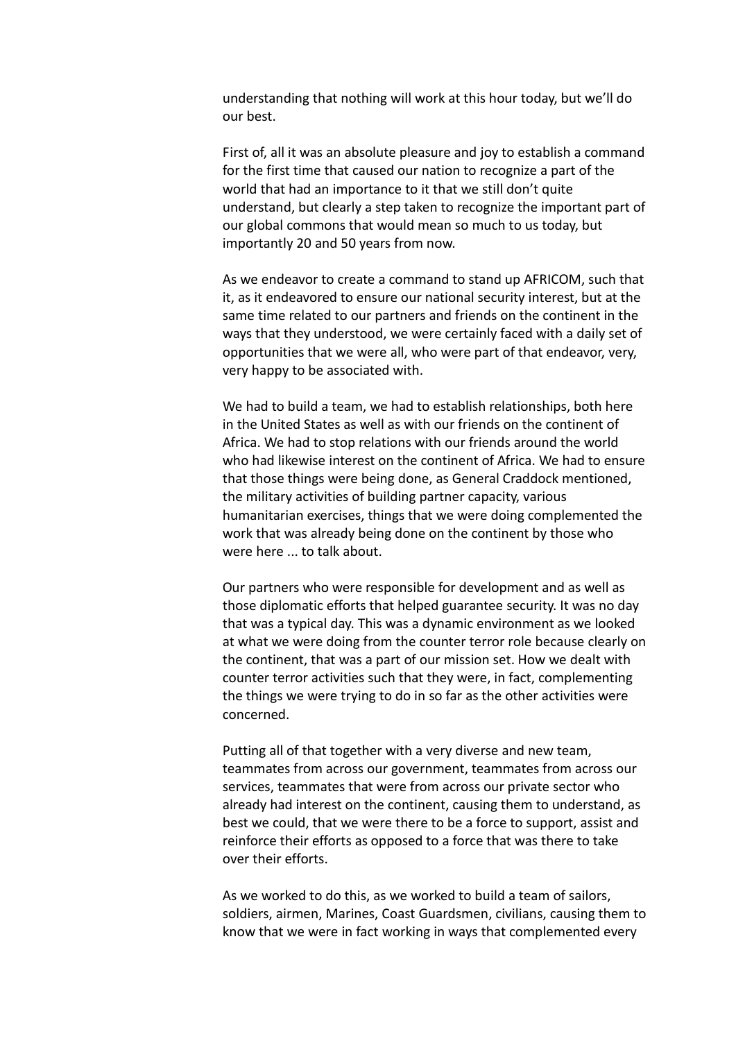understanding that nothing will work at this hour today, but we'll do our best.

First of, all it was an absolute pleasure and joy to establish a command for the first time that caused our nation to recognize a part of the world that had an importance to it that we still don't quite understand, but clearly a step taken to recognize the important part of our global commons that would mean so much to us today, but importantly 20 and 50 years from now.

As we endeavor to create a command to stand up AFRICOM, such that it, as it endeavored to ensure our national security interest, but at the same time related to our partners and friends on the continent in the ways that they understood, we were certainly faced with a daily set of opportunities that we were all, who were part of that endeavor, very, very happy to be associated with.

We had to build a team, we had to establish relationships, both here in the United States as well as with our friends on the continent of Africa. We had to stop relations with our friends around the world who had likewise interest on the continent of Africa. We had to ensure that those things were being done, as General Craddock mentioned, the military activities of building partner capacity, various humanitarian exercises, things that we were doing complemented the work that was already being done on the continent by those who were here ... to talk about.

Our partners who were responsible for development and as well as those diplomatic efforts that helped guarantee security. It was no day that was a typical day. This was a dynamic environment as we looked at what we were doing from the counter terror role because clearly on the continent, that was a part of our mission set. How we dealt with counter terror activities such that they were, in fact, complementing the things we were trying to do in so far as the other activities were concerned.

Putting all of that together with a very diverse and new team, teammates from across our government, teammates from across our services, teammates that were from across our private sector who already had interest on the continent, causing them to understand, as best we could, that we were there to be a force to support, assist and reinforce their efforts as opposed to a force that was there to take over their efforts.

As we worked to do this, as we worked to build a team of sailors, soldiers, airmen, Marines, Coast Guardsmen, civilians, causing them to know that we were in fact working in ways that complemented every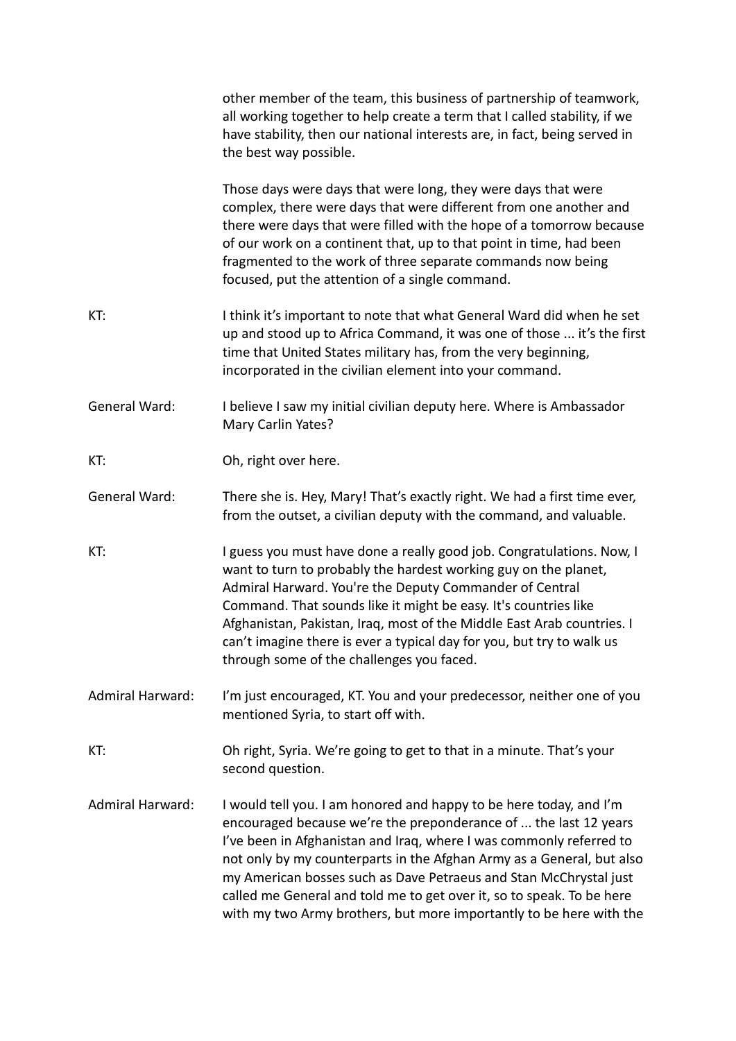|                         | other member of the team, this business of partnership of teamwork,<br>all working together to help create a term that I called stability, if we<br>have stability, then our national interests are, in fact, being served in<br>the best way possible.                                                                                                                                                                                                                                                     |
|-------------------------|-------------------------------------------------------------------------------------------------------------------------------------------------------------------------------------------------------------------------------------------------------------------------------------------------------------------------------------------------------------------------------------------------------------------------------------------------------------------------------------------------------------|
|                         | Those days were days that were long, they were days that were<br>complex, there were days that were different from one another and<br>there were days that were filled with the hope of a tomorrow because<br>of our work on a continent that, up to that point in time, had been<br>fragmented to the work of three separate commands now being<br>focused, put the attention of a single command.                                                                                                         |
| KT:                     | I think it's important to note that what General Ward did when he set<br>up and stood up to Africa Command, it was one of those  it's the first<br>time that United States military has, from the very beginning,<br>incorporated in the civilian element into your command.                                                                                                                                                                                                                                |
| <b>General Ward:</b>    | I believe I saw my initial civilian deputy here. Where is Ambassador<br>Mary Carlin Yates?                                                                                                                                                                                                                                                                                                                                                                                                                  |
| KT:                     | Oh, right over here.                                                                                                                                                                                                                                                                                                                                                                                                                                                                                        |
| General Ward:           | There she is. Hey, Mary! That's exactly right. We had a first time ever,<br>from the outset, a civilian deputy with the command, and valuable.                                                                                                                                                                                                                                                                                                                                                              |
| KT:                     | I guess you must have done a really good job. Congratulations. Now, I<br>want to turn to probably the hardest working guy on the planet,<br>Admiral Harward. You're the Deputy Commander of Central<br>Command. That sounds like it might be easy. It's countries like<br>Afghanistan, Pakistan, Iraq, most of the Middle East Arab countries. I<br>can't imagine there is ever a typical day for you, but try to walk us<br>through some of the challenges you faced.                                      |
| <b>Admiral Harward:</b> | I'm just encouraged, KT. You and your predecessor, neither one of you<br>mentioned Syria, to start off with.                                                                                                                                                                                                                                                                                                                                                                                                |
| KT:                     | Oh right, Syria. We're going to get to that in a minute. That's your<br>second question.                                                                                                                                                                                                                                                                                                                                                                                                                    |
| <b>Admiral Harward:</b> | I would tell you. I am honored and happy to be here today, and I'm<br>encouraged because we're the preponderance of  the last 12 years<br>I've been in Afghanistan and Iraq, where I was commonly referred to<br>not only by my counterparts in the Afghan Army as a General, but also<br>my American bosses such as Dave Petraeus and Stan McChrystal just<br>called me General and told me to get over it, so to speak. To be here<br>with my two Army brothers, but more importantly to be here with the |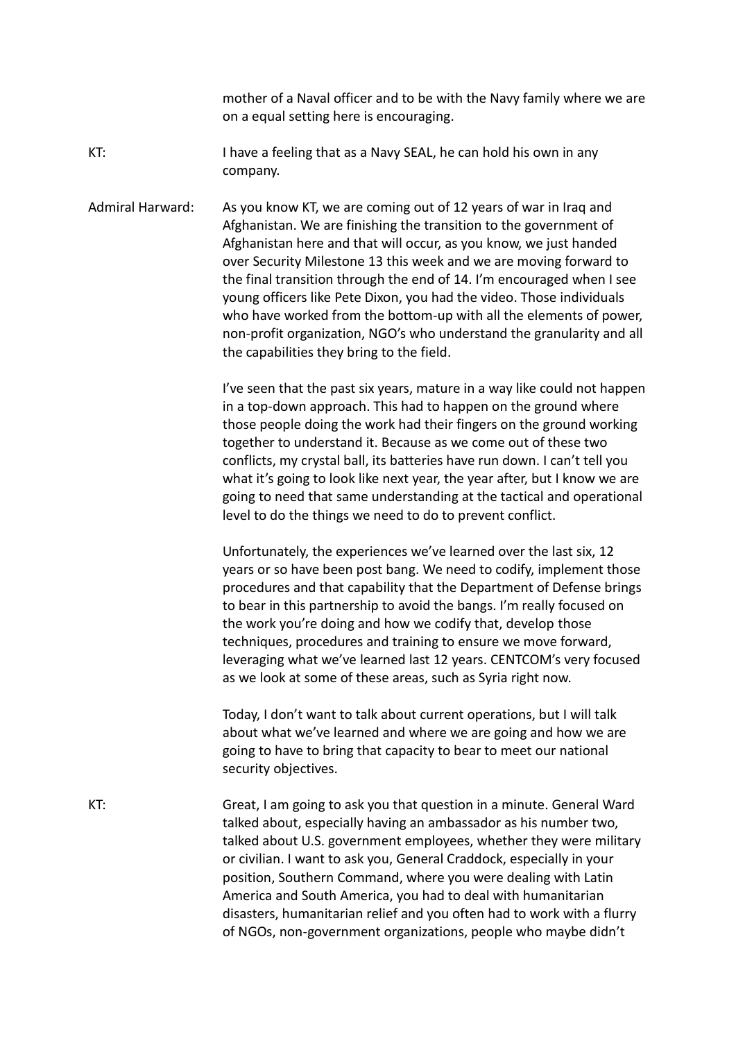mother of a Naval officer and to be with the Navy family where we are on a equal setting here is encouraging.

KT: I have a feeling that as a Navy SEAL, he can hold his own in any company.

Admiral Harward: As you know KT, we are coming out of 12 years of war in Iraq and Afghanistan. We are finishing the transition to the government of Afghanistan here and that will occur, as you know, we just handed over Security Milestone 13 this week and we are moving forward to the final transition through the end of 14. I'm encouraged when I see young officers like Pete Dixon, you had the video. Those individuals who have worked from the bottom-up with all the elements of power, non-profit organization, NGO's who understand the granularity and all the capabilities they bring to the field.

> I've seen that the past six years, mature in a way like could not happen in a top-down approach. This had to happen on the ground where those people doing the work had their fingers on the ground working together to understand it. Because as we come out of these two conflicts, my crystal ball, its batteries have run down. I can't tell you what it's going to look like next year, the year after, but I know we are going to need that same understanding at the tactical and operational level to do the things we need to do to prevent conflict.

Unfortunately, the experiences we've learned over the last six, 12 years or so have been post bang. We need to codify, implement those procedures and that capability that the Department of Defense brings to bear in this partnership to avoid the bangs. I'm really focused on the work you're doing and how we codify that, develop those techniques, procedures and training to ensure we move forward, leveraging what we've learned last 12 years. CENTCOM's very focused as we look at some of these areas, such as Syria right now.

Today, I don't want to talk about current operations, but I will talk about what we've learned and where we are going and how we are going to have to bring that capacity to bear to meet our national security objectives.

KT: Great, I am going to ask you that question in a minute. General Ward talked about, especially having an ambassador as his number two, talked about U.S. government employees, whether they were military or civilian. I want to ask you, General Craddock, especially in your position, Southern Command, where you were dealing with Latin America and South America, you had to deal with humanitarian disasters, humanitarian relief and you often had to work with a flurry of NGOs, non-government organizations, people who maybe didn't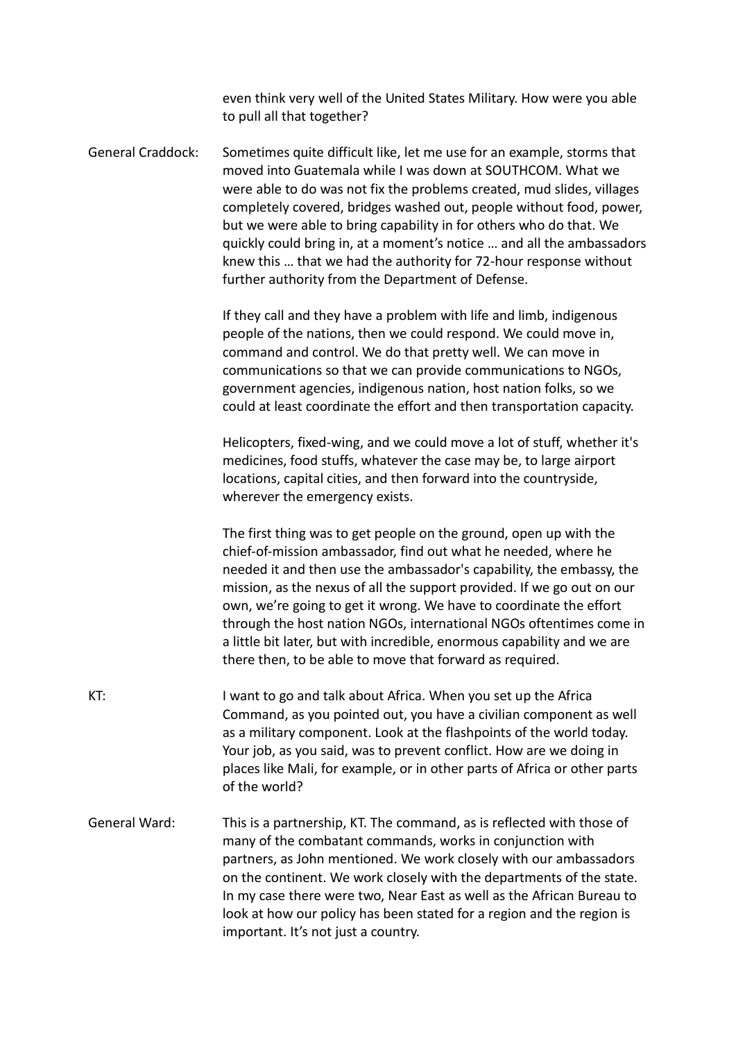even think very well of the United States Military. How were you able to pull all that together?

General Craddock: Sometimes quite difficult like, let me use for an example, storms that moved into Guatemala while I was down at SOUTHCOM. What we were able to do was not fix the problems created, mud slides, villages completely covered, bridges washed out, people without food, power, but we were able to bring capability in for others who do that. We quickly could bring in, at a moment's notice … and all the ambassadors knew this … that we had the authority for 72-hour response without further authority from the Department of Defense.

> If they call and they have a problem with life and limb, indigenous people of the nations, then we could respond. We could move in, command and control. We do that pretty well. We can move in communications so that we can provide communications to NGOs, government agencies, indigenous nation, host nation folks, so we could at least coordinate the effort and then transportation capacity.

> Helicopters, fixed-wing, and we could move a lot of stuff, whether it's medicines, food stuffs, whatever the case may be, to large airport locations, capital cities, and then forward into the countryside, wherever the emergency exists.

The first thing was to get people on the ground, open up with the chief-of-mission ambassador, find out what he needed, where he needed it and then use the ambassador's capability, the embassy, the mission, as the nexus of all the support provided. If we go out on our own, we're going to get it wrong. We have to coordinate the effort through the host nation NGOs, international NGOs oftentimes come in a little bit later, but with incredible, enormous capability and we are there then, to be able to move that forward as required.

- KT: I want to go and talk about Africa. When you set up the Africa Command, as you pointed out, you have a civilian component as well as a military component. Look at the flashpoints of the world today. Your job, as you said, was to prevent conflict. How are we doing in places like Mali, for example, or in other parts of Africa or other parts of the world? General Ward: This is a partnership, KT. The command, as is reflected with those of
- many of the combatant commands, works in conjunction with partners, as John mentioned. We work closely with our ambassadors on the continent. We work closely with the departments of the state. In my case there were two, Near East as well as the African Bureau to look at how our policy has been stated for a region and the region is important. It's not just a country.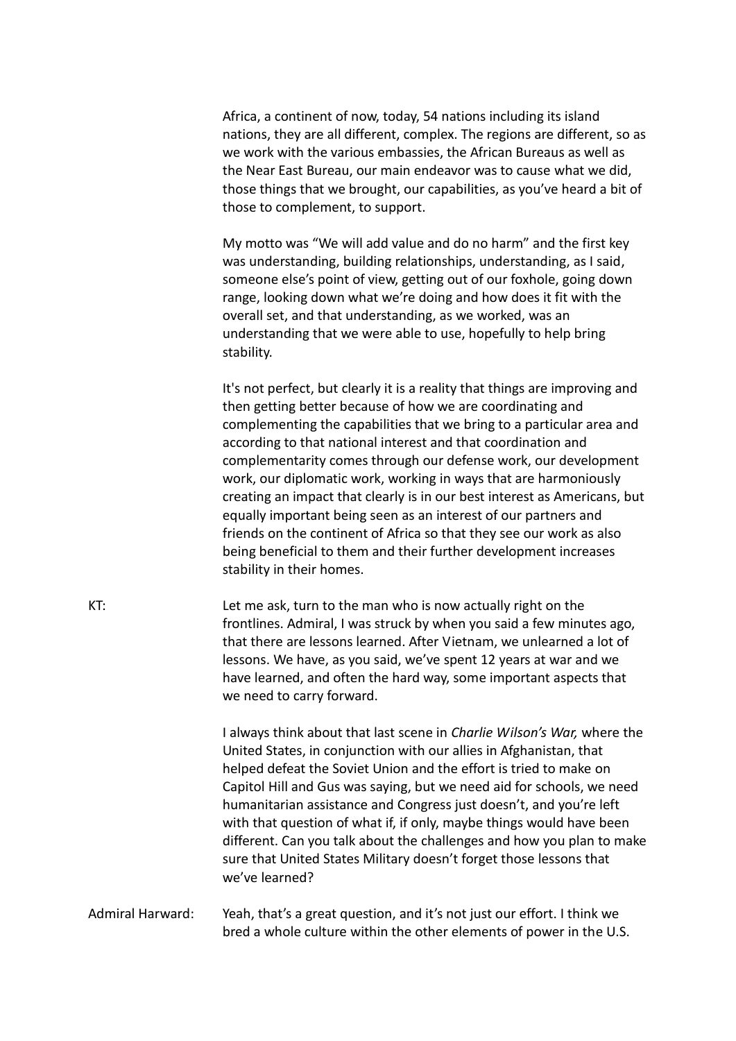Africa, a continent of now, today, 54 nations including its island nations, they are all different, complex. The regions are different, so as we work with the various embassies, the African Bureaus as well as the Near East Bureau, our main endeavor was to cause what we did, those things that we brought, our capabilities, as you've heard a bit of those to complement, to support.

My motto was "We will add value and do no harm" and the first key was understanding, building relationships, understanding, as I said, someone else's point of view, getting out of our foxhole, going down range, looking down what we're doing and how does it fit with the overall set, and that understanding, as we worked, was an understanding that we were able to use, hopefully to help bring stability.

It's not perfect, but clearly it is a reality that things are improving and then getting better because of how we are coordinating and complementing the capabilities that we bring to a particular area and according to that national interest and that coordination and complementarity comes through our defense work, our development work, our diplomatic work, working in ways that are harmoniously creating an impact that clearly is in our best interest as Americans, but equally important being seen as an interest of our partners and friends on the continent of Africa so that they see our work as also being beneficial to them and their further development increases stability in their homes.

KT: Let me ask, turn to the man who is now actually right on the frontlines. Admiral, I was struck by when you said a few minutes ago, that there are lessons learned. After Vietnam, we unlearned a lot of lessons. We have, as you said, we've spent 12 years at war and we have learned, and often the hard way, some important aspects that we need to carry forward.

> I always think about that last scene in *Charlie Wilson's War,* where the United States, in conjunction with our allies in Afghanistan, that helped defeat the Soviet Union and the effort is tried to make on Capitol Hill and Gus was saying, but we need aid for schools, we need humanitarian assistance and Congress just doesn't, and you're left with that question of what if, if only, maybe things would have been different. Can you talk about the challenges and how you plan to make sure that United States Military doesn't forget those lessons that we've learned?

Admiral Harward: Yeah, that's a great question, and it's not just our effort. I think we bred a whole culture within the other elements of power in the U.S.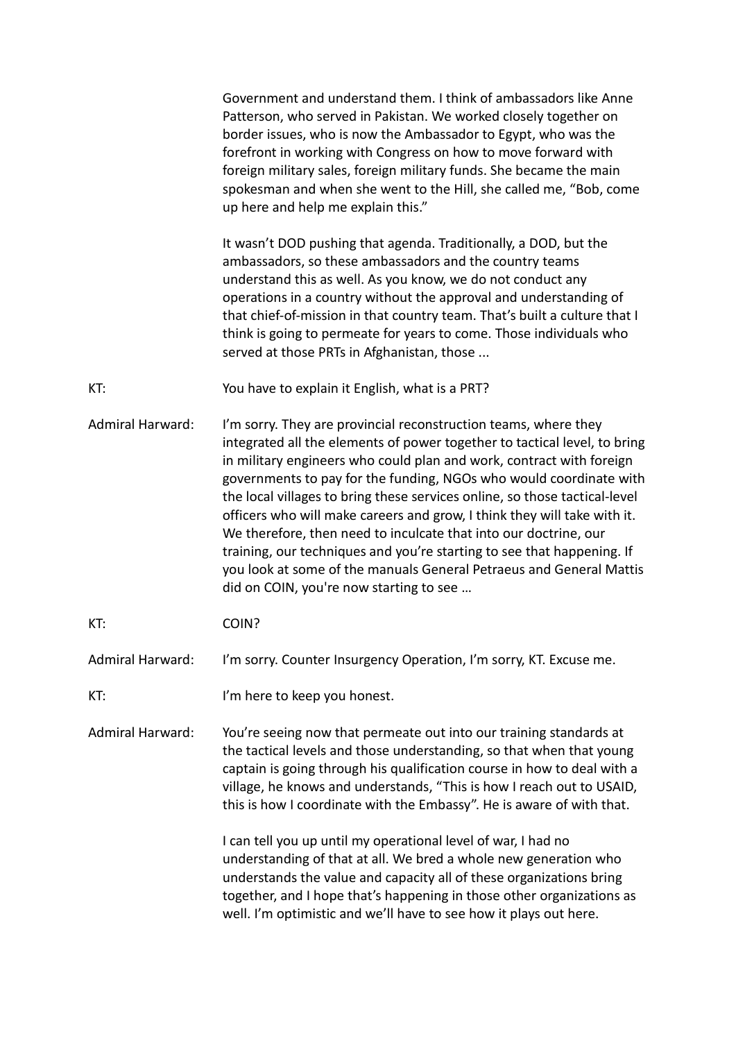Government and understand them. I think of ambassadors like Anne Patterson, who served in Pakistan. We worked closely together on border issues, who is now the Ambassador to Egypt, who was the forefront in working with Congress on how to move forward with foreign military sales, foreign military funds. She became the main spokesman and when she went to the Hill, she called me, "Bob, come up here and help me explain this."

It wasn't DOD pushing that agenda. Traditionally, a DOD, but the ambassadors, so these ambassadors and the country teams understand this as well. As you know, we do not conduct any operations in a country without the approval and understanding of that chief-of-mission in that country team. That's built a culture that I think is going to permeate for years to come. Those individuals who served at those PRTs in Afghanistan, those ...

KT: You have to explain it English, what is a PRT?

Admiral Harward: I'm sorry. They are provincial reconstruction teams, where they integrated all the elements of power together to tactical level, to bring in military engineers who could plan and work, contract with foreign governments to pay for the funding, NGOs who would coordinate with the local villages to bring these services online, so those tactical-level officers who will make careers and grow, I think they will take with it. We therefore, then need to inculcate that into our doctrine, our training, our techniques and you're starting to see that happening. If you look at some of the manuals General Petraeus and General Mattis did on COIN, you're now starting to see …

KT: COIN?

Admiral Harward: I'm sorry. Counter Insurgency Operation, I'm sorry, KT. Excuse me.

KT: I'm here to keep you honest.

Admiral Harward: You're seeing now that permeate out into our training standards at the tactical levels and those understanding, so that when that young captain is going through his qualification course in how to deal with a village, he knows and understands, "This is how I reach out to USAID, this is how I coordinate with the Embassy". He is aware of with that.

> I can tell you up until my operational level of war, I had no understanding of that at all. We bred a whole new generation who understands the value and capacity all of these organizations bring together, and I hope that's happening in those other organizations as well. I'm optimistic and we'll have to see how it plays out here.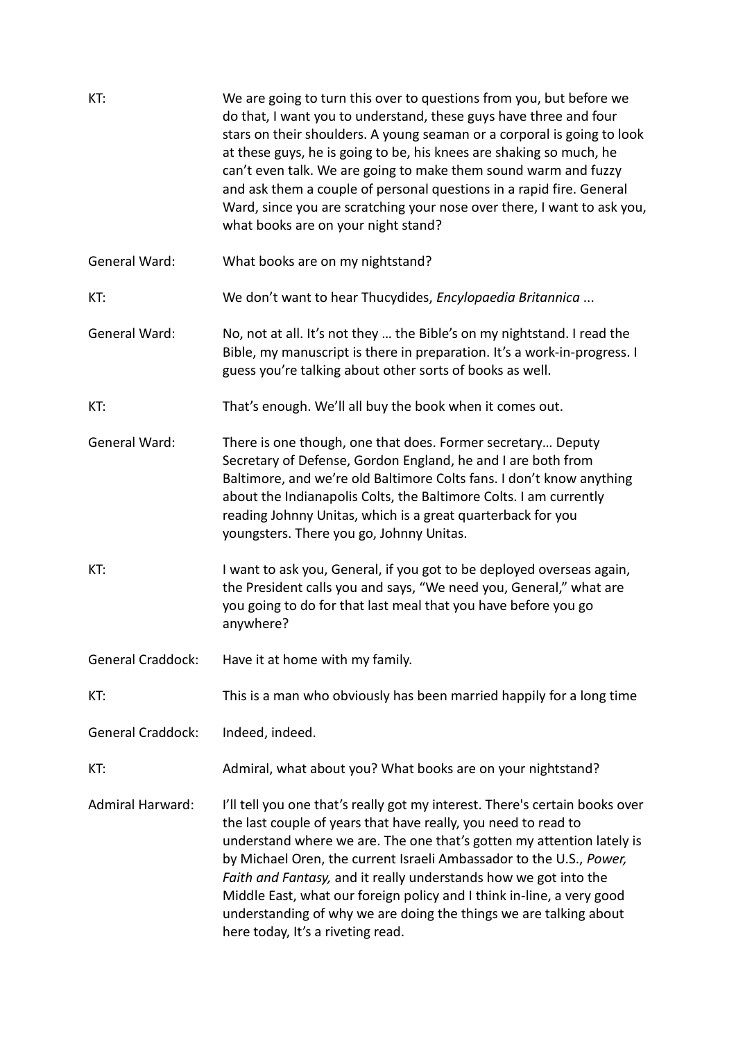| KT:                      | We are going to turn this over to questions from you, but before we<br>do that, I want you to understand, these guys have three and four<br>stars on their shoulders. A young seaman or a corporal is going to look<br>at these guys, he is going to be, his knees are shaking so much, he<br>can't even talk. We are going to make them sound warm and fuzzy<br>and ask them a couple of personal questions in a rapid fire. General<br>Ward, since you are scratching your nose over there, I want to ask you,<br>what books are on your night stand? |
|--------------------------|---------------------------------------------------------------------------------------------------------------------------------------------------------------------------------------------------------------------------------------------------------------------------------------------------------------------------------------------------------------------------------------------------------------------------------------------------------------------------------------------------------------------------------------------------------|
| General Ward:            | What books are on my nightstand?                                                                                                                                                                                                                                                                                                                                                                                                                                                                                                                        |
| KT:                      | We don't want to hear Thucydides, Encylopaedia Britannica                                                                                                                                                                                                                                                                                                                                                                                                                                                                                               |
| <b>General Ward:</b>     | No, not at all. It's not they  the Bible's on my nightstand. I read the<br>Bible, my manuscript is there in preparation. It's a work-in-progress. I<br>guess you're talking about other sorts of books as well.                                                                                                                                                                                                                                                                                                                                         |
| KT:                      | That's enough. We'll all buy the book when it comes out.                                                                                                                                                                                                                                                                                                                                                                                                                                                                                                |
| <b>General Ward:</b>     | There is one though, one that does. Former secretary Deputy<br>Secretary of Defense, Gordon England, he and I are both from<br>Baltimore, and we're old Baltimore Colts fans. I don't know anything<br>about the Indianapolis Colts, the Baltimore Colts. I am currently<br>reading Johnny Unitas, which is a great quarterback for you<br>youngsters. There you go, Johnny Unitas.                                                                                                                                                                     |
| KT:                      | I want to ask you, General, if you got to be deployed overseas again,<br>the President calls you and says, "We need you, General," what are<br>you going to do for that last meal that you have before you go<br>anywhere?                                                                                                                                                                                                                                                                                                                              |
| <b>General Craddock:</b> | Have it at home with my family.                                                                                                                                                                                                                                                                                                                                                                                                                                                                                                                         |
| KT:                      | This is a man who obviously has been married happily for a long time                                                                                                                                                                                                                                                                                                                                                                                                                                                                                    |
| <b>General Craddock:</b> | Indeed, indeed.                                                                                                                                                                                                                                                                                                                                                                                                                                                                                                                                         |
| KT:                      | Admiral, what about you? What books are on your nightstand?                                                                                                                                                                                                                                                                                                                                                                                                                                                                                             |
| <b>Admiral Harward:</b>  | I'll tell you one that's really got my interest. There's certain books over<br>the last couple of years that have really, you need to read to<br>understand where we are. The one that's gotten my attention lately is<br>by Michael Oren, the current Israeli Ambassador to the U.S., Power,<br>Faith and Fantasy, and it really understands how we got into the<br>Middle East, what our foreign policy and I think in-line, a very good<br>understanding of why we are doing the things we are talking about<br>here today, It's a riveting read.    |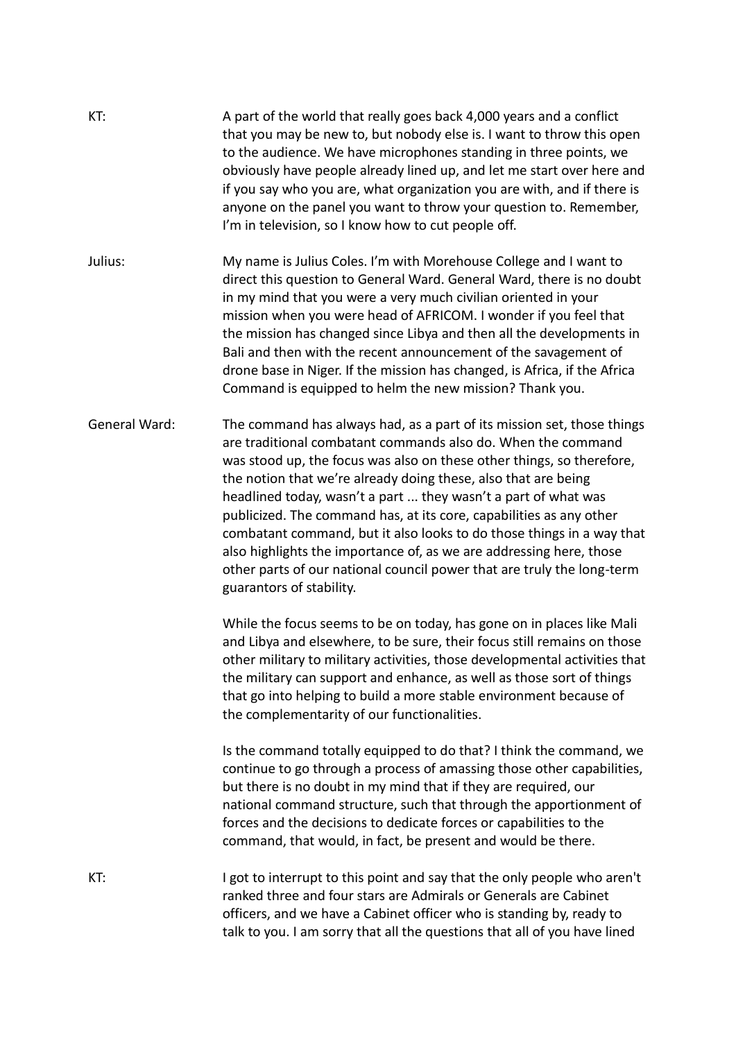| KT:           | A part of the world that really goes back 4,000 years and a conflict<br>that you may be new to, but nobody else is. I want to throw this open<br>to the audience. We have microphones standing in three points, we<br>obviously have people already lined up, and let me start over here and<br>if you say who you are, what organization you are with, and if there is<br>anyone on the panel you want to throw your question to. Remember,<br>I'm in television, so I know how to cut people off.                                                                                                                                                                              |
|---------------|----------------------------------------------------------------------------------------------------------------------------------------------------------------------------------------------------------------------------------------------------------------------------------------------------------------------------------------------------------------------------------------------------------------------------------------------------------------------------------------------------------------------------------------------------------------------------------------------------------------------------------------------------------------------------------|
| Julius:       | My name is Julius Coles. I'm with Morehouse College and I want to<br>direct this question to General Ward. General Ward, there is no doubt<br>in my mind that you were a very much civilian oriented in your<br>mission when you were head of AFRICOM. I wonder if you feel that<br>the mission has changed since Libya and then all the developments in<br>Bali and then with the recent announcement of the savagement of<br>drone base in Niger. If the mission has changed, is Africa, if the Africa<br>Command is equipped to helm the new mission? Thank you.                                                                                                              |
| General Ward: | The command has always had, as a part of its mission set, those things<br>are traditional combatant commands also do. When the command<br>was stood up, the focus was also on these other things, so therefore,<br>the notion that we're already doing these, also that are being<br>headlined today, wasn't a part  they wasn't a part of what was<br>publicized. The command has, at its core, capabilities as any other<br>combatant command, but it also looks to do those things in a way that<br>also highlights the importance of, as we are addressing here, those<br>other parts of our national council power that are truly the long-term<br>guarantors of stability. |
|               | While the focus seems to be on today, has gone on in places like Mali<br>and Libya and elsewhere, to be sure, their focus still remains on those<br>other military to military activities, those developmental activities that<br>the military can support and enhance, as well as those sort of things<br>that go into helping to build a more stable environment because of<br>the complementarity of our functionalities.                                                                                                                                                                                                                                                     |
|               | Is the command totally equipped to do that? I think the command, we<br>continue to go through a process of amassing those other capabilities,<br>but there is no doubt in my mind that if they are required, our<br>national command structure, such that through the apportionment of<br>forces and the decisions to dedicate forces or capabilities to the<br>command, that would, in fact, be present and would be there.                                                                                                                                                                                                                                                     |
| KT:           | I got to interrupt to this point and say that the only people who aren't<br>ranked three and four stars are Admirals or Generals are Cabinet<br>officers, and we have a Cabinet officer who is standing by, ready to<br>talk to you. I am sorry that all the questions that all of you have lined                                                                                                                                                                                                                                                                                                                                                                                |